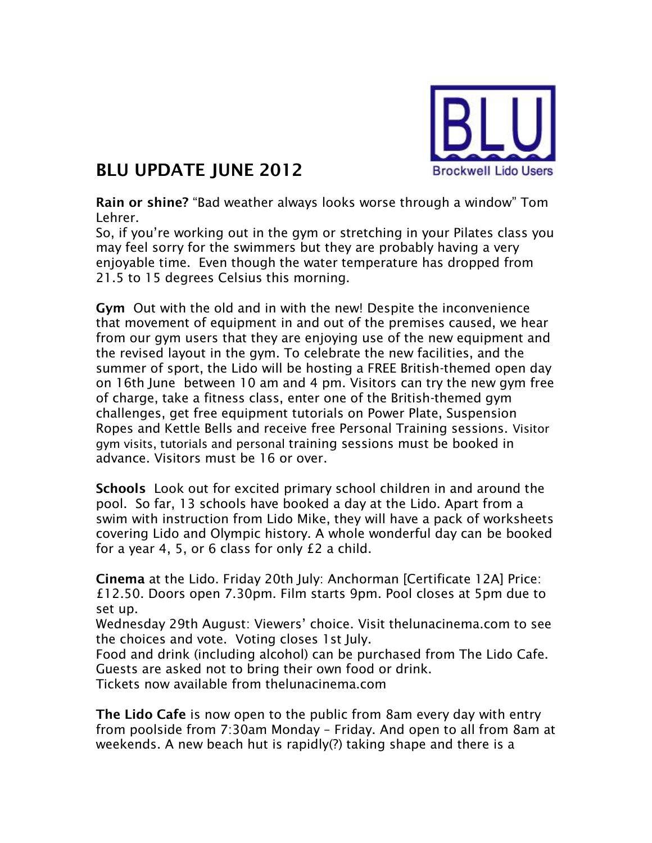

## **BLU UPDATE JUNE 2012**

**Rain or shine?** "Bad weather always looks worse through a window" Tom Lehrer.

So, if you're working out in the gym or stretching in your Pilates class you may feel sorry for the swimmers but they are probably having a very enjoyable time. Even though the water temperature has dropped from 21.5 to 15 degrees Celsius this morning.

**Gym** Out with the old and in with the new! Despite the inconvenience that movement of equipment in and out of the premises caused, we hear from our gym users that they are enjoying use of the new equipment and the revised layout in the gym. To celebrate the new facilities, and the summer of sport, the Lido will be hosting a FREE British-themed open day on 16th June between 10 am and 4 pm. Visitors can try the new gym free of charge, take a fitness class, enter one of the British-themed gym challenges, get free equipment tutorials on Power Plate, Suspension Ropes and Kettle Bells and receive free Personal Training sessions. Visitor gym visits, tutorials and personal training sessions must be booked in advance. Visitors must be 16 or over.

**Schools** Look out for excited primary school children in and around the pool. So far, 13 schools have booked a day at the Lido. Apart from a swim with instruction from Lido Mike, they will have a pack of worksheets covering Lido and Olympic history. A whole wonderful day can be booked for a year 4, 5, or 6 class for only £2 a child.

**Cinema** at the Lido. Friday 20th July: Anchorman [Certificate 12A] Price: £12.50. Doors open 7.30pm. Film starts 9pm. Pool closes at 5pm due to set up.

Wednesday 29th August: Viewers' choice. Visit thelunacinema.com to see the choices and vote. Voting closes 1st July.

Food and drink (including alcohol) can be purchased from The Lido Cafe. Guests are asked not to bring their own food or drink.

Tickets now available from thelunacinema.com

**The Lido Cafe** is now open to the public from 8am every day with entry from poolside from 7:30am Monday – Friday. And open to all from 8am at weekends. A new beach hut is rapidly(?) taking shape and there is a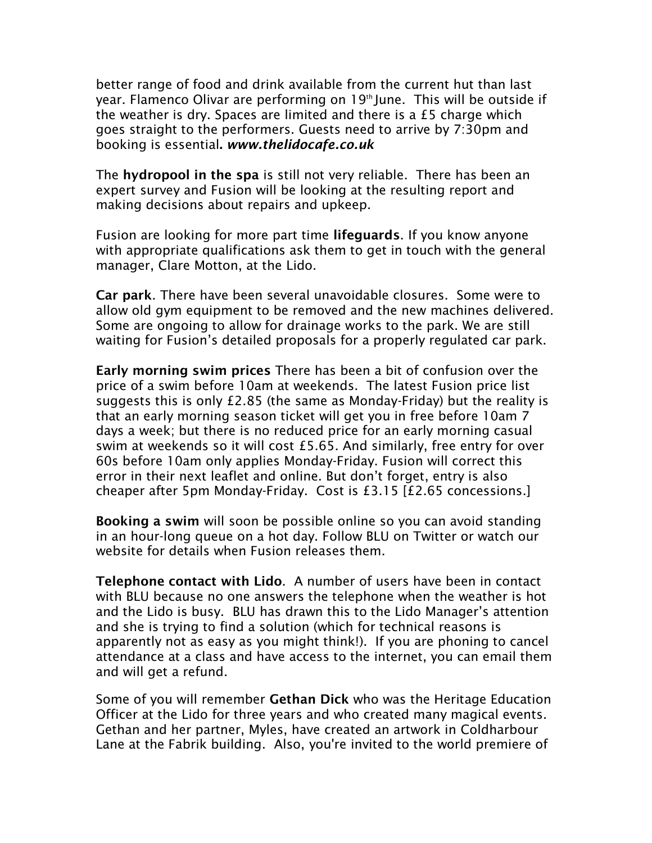better range of food and drink available from the current hut than last year. Flamenco Olivar are performing on 19<sup>th</sup> June. This will be outside if the weather is dry. Spaces are limited and there is a £5 charge which goes straight to the performers. Guests need to arrive by 7:30pm and booking is essential**.** *[www.thelidocafe.co.uk](http://www.thelidocafe.co.uk/)*

The **hydropool in the spa** is still not very reliable. There has been an expert survey and Fusion will be looking at the resulting report and making decisions about repairs and upkeep.

Fusion are looking for more part time **lifeguards**. If you know anyone with appropriate qualifications ask them to get in touch with the general manager, Clare Motton, at the Lido.

**Car park**. There have been several unavoidable closures. Some were to allow old gym equipment to be removed and the new machines delivered. Some are ongoing to allow for drainage works to the park. We are still waiting for Fusion's detailed proposals for a properly regulated car park.

**Early morning swim prices** There has been a bit of confusion over the price of a swim before 10am at weekends. The latest Fusion price list suggests this is only £2.85 (the same as Monday-Friday) but the reality is that an early morning season ticket will get you in free before 10am 7 days a week; but there is no reduced price for an early morning casual swim at weekends so it will cost £5.65. And similarly, free entry for over 60s before 10am only applies Monday-Friday. Fusion will correct this error in their next leaflet and online. But don't forget, entry is also cheaper after 5pm Monday-Friday. Cost is £3.15 [£2.65 concessions.]

**Booking a swim** will soon be possible online so you can avoid standing in an hour-long queue on a hot day. Follow BLU on Twitter or watch our website for details when Fusion releases them.

**Telephone contact with Lido**. A number of users have been in contact with BLU because no one answers the telephone when the weather is hot and the Lido is busy. BLU has drawn this to the Lido Manager's attention and she is trying to find a solution (which for technical reasons is apparently not as easy as you might think!). If you are phoning to cancel attendance at a class and have access to the internet, you can email them and will get a refund.

Some of you will remember **Gethan Dick** who was the Heritage Education Officer at the Lido for three years and who created many magical events. Gethan and her partner, Myles, have created an artwork in Coldharbour Lane at the Fabrik building. Also, you're invited to the world premiere of